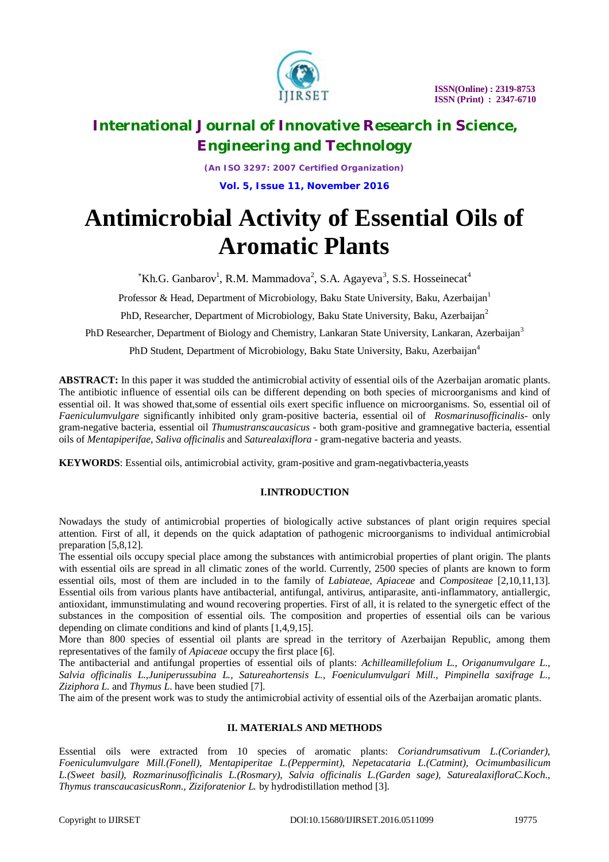

*(An ISO 3297: 2007 Certified Organization)* **Vol. 5, Issue 11, November 2016**

# **Antimicrobial Activity of Essential Oils of Aromatic Plants**

 $K$ h.G. Ganbarov<sup>1</sup>, R.M. Mammadova<sup>2</sup>, S.A. Agayeva<sup>3</sup>, S.S. Hosseinecat<sup>4</sup>

Professor & Head, Department of Microbiology, Baku State University, Baku, Azerbaijan<sup>1</sup>

PhD, Researcher, Department of Microbiology, Baku State University, Baku, Azerbaijan<sup>2</sup>

PhD Researcher, Department of Biology and Chemistry, Lankaran State University, Lankaran, Azerbaijan<sup>3</sup>

PhD Student, Department of Microbiology, Baku State University, Baku, Azerbaijan<sup>4</sup>

**ABSTRACT:** In this paper it was studded the antimicrobial activity of essential oils of the Azerbaijan aromatic plants. The antibiotic influence of essential oils can be different depending on both species of microorganisms and kind of essential oil. It was showed that,some of essential oils exert specific influence on microorganisms. So, essential oil of *Faeniculumvulgare* significantly inhibited only gram-positive bacteria, essential oil of *Rosmarinusofficinalis*- only gram-negative bacteria, essential oil *Thumustranscaucasicus* - both gram-positive and gramnegative bacteria, essential oils of *Mentapiperifae, Saliva officinalis* and *Saturealaxiflora* - gram-negative bacteria and yeasts.

**KEYWORDS**: Essential oils, antimicrobial activity, gram-positive and gram-negativbacteria,yeasts

### **I.INTRODUCTION**

Nowadays the study of antimicrobial properties of biologically active substances of plant origin requires special attention. First of all, it depends on the quick adaptation of pathogenic microorganisms to individual antimicrobial preparation [5,8,12].

The essential oils occupy special place among the substances with antimicrobial properties of plant origin. The plants with essential oils are spread in all climatic zones of the world. Currently, 2500 species of plants are known to form essential oils, most of them are included in to the family of *Labiateae, Apiaceae* and *Compositeae* [2,10,11,13]. Essential oils from various plants have antibacterial, antifungal, antivirus, antiparasite, anti-inflammatory, antiallergic, antioxidant, immunstimulating and wound recovering properties. First of all, it is related to the synergetic effect of the substances in the composition of essential oils. The composition and properties of essential oils can be various depending on climate conditions and kind of plants [1,4,9,15].

More than 800 species of essential oil plants are spread in the territory of Azerbaijan Republic, among them representatives of the family of *Apiaceae* occupy the first place [6].

The antibacterial and antifungal properties of essential oils of plants: *Achilleamillefolium L., Origanumvulgare L., Salvia officinalis L.,Juniperussubina L., Satureahortensis L., Foeniculumvulgari Mill., Pimpinella saxifrage L., Ziziphora L.* and *Thymus L*. have been studied [7].

The aim of the present work was to study the antimicrobial activity of essential oils of the Azerbaijan aromatic plants.

### **II. MATERIALS AND METHODS**

Essential oils were extracted from 10 species of aromatic plants: *Coriandrumsativum L.(Coriander), Foeniculumvulgare Mill.(Fonell), Mentapiperitae L.(Peppermint), Nepetacataria L.(Catmint), Ocimumbasilicum L.(Sweet basil), Rozmarinusofficinalis L.(Rosmary), Salvia officinalis L.(Garden sage), SaturealaxifloraC.Koch., Thymus transcaucasicusRonn., Ziziforatenior L.* by hydrodistillation method [3].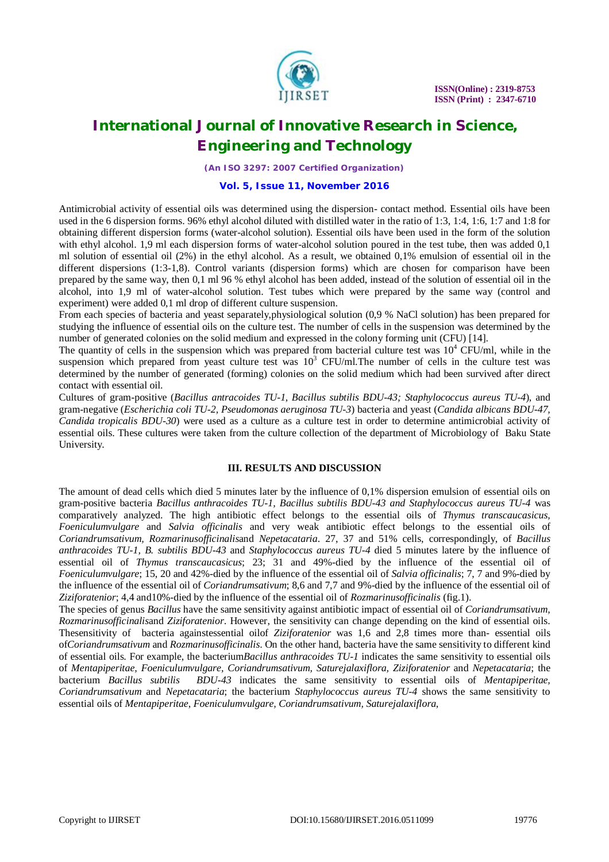

*(An ISO 3297: 2007 Certified Organization)*

#### **Vol. 5, Issue 11, November 2016**

Antimicrobial activity of essential oils was determined using the dispersion- contact method. Essential oils have been used in the 6 dispersion forms. 96% ethyl alcohol diluted with distilled water in the ratio of 1:3, 1:4, 1:6, 1:7 and 1:8 for obtaining different dispersion forms (water-alcohol solution). Essential oils have been used in the form of the solution with ethyl alcohol. 1,9 ml each dispersion forms of water-alcohol solution poured in the test tube, then was added 0.1 ml solution of essential oil (2%) in the ethyl alcohol. As a result, we obtained 0,1% emulsion of essential oil in the different dispersions (1:3-1,8). Control variants (dispersion forms) which are chosen for comparison have been prepared by the same way, then 0,1 ml 96 % ethyl alcohol has been added, instead of the solution of essential oil in the alcohol, into 1,9 ml of water-alcohol solution. Test tubes which were prepared by the same way (control and experiment) were added 0,1 ml drop of different culture suspension.

From each species of bacteria and yeast separately,physiological solution (0,9 % NaCl solution) has been prepared for studying the influence of essential oils on the culture test. The number of cells in the suspension was determined by the number of generated colonies on the solid medium and expressed in the colony forming unit (CFU) [14].

The quantity of cells in the suspension which was prepared from bacterial culture test was  $10^4$  CFU/ml, while in the suspension which prepared from yeast culture test was  $10<sup>3</sup>$  CFU/ml. The number of cells in the culture test was determined by the number of generated (forming) colonies on the solid medium which had been survived after direct contact with essential oil.

Cultures of gram-positive (*Bacillus antracoides TU-1, Bacillus subtilis BDU-43; Staphylococcus aureus TU-4*), and gram-negative (*Escherichia coli TU-2, Pseudomonas aeruginosa TU-3*) bacteria and yeast (*Candida albicans BDU-47, Candida tropicalis BDU-30*) were used as a culture as a culture test in order to determine antimicrobial activity of essential oils. These cultures were taken from the culture collection of the department of Microbiology of Baku State University.

### **III. RESULTS AND DISCUSSION**

The amount of dead cells which died 5 minutes later by the influence of 0,1% dispersion emulsion of essential oils on gram-positive bacteria *Bacillus anthracoides TU-1, Bacillus subtilis BDU-43 and Staphylococcus aureus TU-4* was comparatively analyzed. The high antibiotic effect belongs to the essential oils of *Thymus transcaucasicus, Foeniculumvulgare* and *Salvia officinalis* and very weak antibiotic effect belongs to the essential oils of *Coriandrumsativum, Rozmarinusofficinalis*and *Nepetacataria*. 27, 37 and 51% cells, correspondingly, of *Bacillus anthracoides TU-1, B. subtilis BDU-43* and *Staphylococcus aureus TU-4* died 5 minutes latere by the influence of essential oil of *Thymus transcaucasicus*; 23; 31 and 49%-died by the influence of the essential oil of *Foeniculumvulgare*; 15, 20 and 42%-died by the influence of the essential oil of *Salvia officinalis*; 7, 7 and 9%-died by the influence of the essential oil of *Coriandrumsativum*; 8,6 and 7,7 and 9%-died by the influence of the essential oil of *Ziziforatenior*; 4,4 and10%-died by the influence of the essential oil of *Rozmarinusofficinalis* (fig.1).

The species of genus *Bacillus* have the same sensitivity against antibiotic impact of essential oil of *Coriandrumsativum, Rozmarinusofficinalis*and *Ziziforatenior*. However, the sensitivity can change depending on the kind of essential oils. Thesensitivity of bacteria againstessential oilof *Ziziforatenior* was 1,6 and 2,8 times more than- essential oils of*Coriandrumsativum* and *Rozmarinusofficinalis*. On the other hand, bacteria have the same sensitivity to different kind of essential oils. For example, the bacterium*Bacillus anthracoides TU-1* indicates the same sensitivity to essential oils of *Mentapiperitae, Foeniculumvulgare, Coriandrumsativum, Saturejalaxiflora, Ziziforatenior* and *Nepetacataria*; the bacterium *Bacillus subtilis BDU-43* indicates the same sensitivity to essential oils of *Mentapiperitae, Coriandrumsativum* and *Nepetacataria*; the bacterium *Staphylococcus aureus TU-4* shows the same sensitivity to essential oils of *Mentapiperitae*, *Foeniculumvulgare, Coriandrumsativum, Saturejalaxiflora*,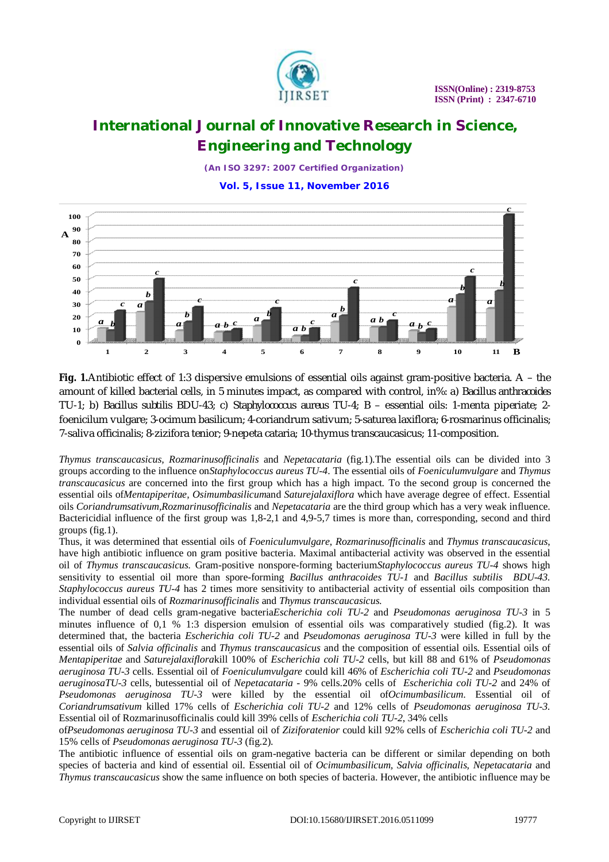

*(An ISO 3297: 2007 Certified Organization)*

**Vol. 5, Issue 11, November 2016**



**Fig. 1.**Antibiotic effect of 1:3 dispersive emulsions of essential oils against gram-positive bacteria. A – the amount of killed bacterial cells, in 5 minutes impact, as compared with control, in%: a) *Bacillus anthracoides* TU-1; b) *Bacillus subtilis* BDU-43; c) *Staphylococcus aureus* TU-4; B – essential oils: 1-menta piperiate; 2 foenicilum vulgare; 3-ocimum basilicum; 4-coriandrum sativum; 5-saturea laxiflora; 6-rosmarinus officinalis; 7-saliva officinalis; 8-zizifora tenior; 9-nepeta cataria; 10-thymus transcaucasicus; 11-composition.

*Thymus transcaucasicus, Rozmarinusofficinalis* and *Nepetacataria* (fig.1).The essential oils can be divided into 3 groups according to the influence on*Staphylococcus aureus TU-4*. The essential oils of *Foeniculumvulgare* and *Thymus transcaucasicus* are concerned into the first group which has a high impact. To the second group is concerned the essential oils of*Mentapiperitae, Osimumbasilicum*and *Saturejalaxiflora* which have average degree of effect. Essential oils *Coriandrumsativum,Rozmarinusofficinalis* and *Nepetacataria* are the third group which has a very weak influence. Bactericidial influence of the first group was 1,8-2,1 and 4,9-5,7 times is more than, corresponding, second and third groups (fig.1).

Thus, it was determined that essential oils of *Foeniculumvulgare*, *Rozmarinusofficinalis* and *Thymus transcaucasicus*, have high antibiotic influence on gram positive bacteria. Maximal antibacterial activity was observed in the essential oil of *Thymus transcaucasicus.* Gram-positive nonspore-forming bacterium*Staphylococcus aureus TU-4* shows high sensitivity to essential oil more than spore-forming *Bacillus anthracoides TU-1* and *Bacillus subtilis BDU-43. Staphylococcus aureus TU-4* has 2 times more sensitivity to antibacterial activity of essential oils composition than individual essential oils of *Rozmarinusofficinalis* and *Thymus transcaucasicus*.

The number of dead cells gram-negative bacteria*Escherichia coli TU-2* and *Pseudomonas aeruginosa TU-3* in 5 minutes influence of 0,1 % 1:3 dispersion emulsion of essential oils was comparatively studied (fig.2). It was determined that, the bacteria *Escherichia coli TU-2* and *Pseudomonas aeruginosa TU-3* were killed in full by the essential oils of *Salvia officinalis* and *Thymus transcaucasicus* and the composition of essential oils. Essential oils of *Mentapiperitae* and *Saturejalaxiflora*kill 100% of *Escherichia coli TU-2* cells, but kill 88 and 61% of *Pseudomonas aeruginosa TU-3* cells. Essential oil of *Foeniculumvulgare* could kill 46% of *Escherichia coli TU-2* and *Pseudomonas aeruginosaTU*-*3* cells, butessential oil of *Nepetacataria* - 9% cells.20% cells of *Escherichia coli TU-2* and 24% of *Pseudomonas aeruginosa TU-3* were killed by the essential oil of*Ocimumbasilicum*. Essential oil of *Coriandrumsativum* killed 17% cells of *Escherichia coli TU-2* and 12% cells of *Pseudomonas aeruginosa TU-3.* Essential oil of Rozmarinusofficinalis could kill 39% cells of *Escherichia coli TU-2*, 34% cells

of*Pseudomonas aeruginosa TU-3* and essential oil of *Ziziforatenior* could kill 92% cells of *Escherichia coli TU-2* and 15% cells of *Pseudomonas aeruginosa TU-3* (fig.2).

The antibiotic influence of essential oils on gram-negative bacteria can be different or similar depending on both species of bacteria and kind of essential oil. Essential oil of *Ocimumbasilicum, Salvia officinalis, Nepetacataria* and *Thymus transcaucasicus* show the same influence on both species of bacteria. However, the antibiotic influence may be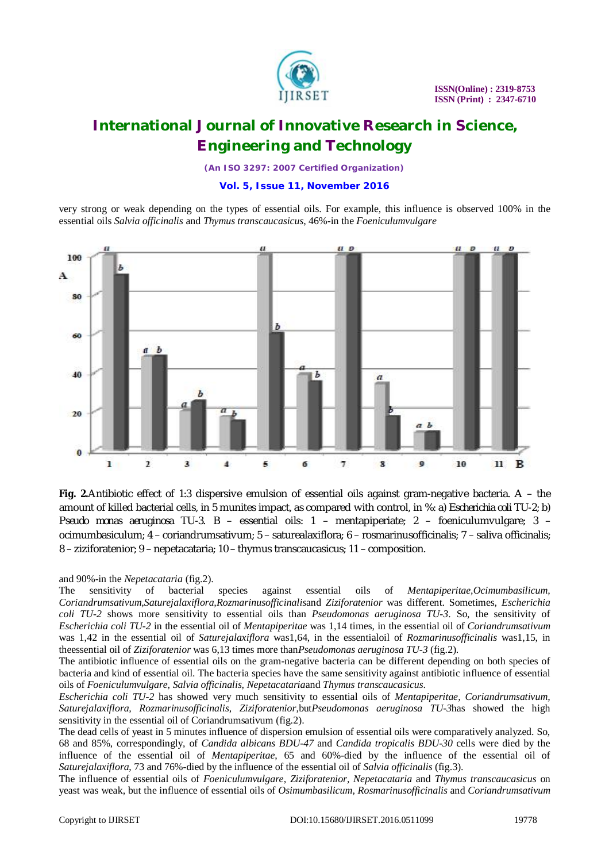

*(An ISO 3297: 2007 Certified Organization)*

#### **Vol. 5, Issue 11, November 2016**

very strong or weak depending on the types of essential oils. For example, this influence is observed 100% in the essential oils *Salvia officinalis* and *Thymus transcaucasicus*, 46%-in the *Foeniculumvulgare*



**Fig. 2.**Antibiotic effect of 1:3 dispersive emulsion of essential oils against gram-negative bacteria. A – the amount of killed bacterial cells, in 5 munites impact, as compared with control, in %: a) *Escherichia coli* TU-2; b) *Pseudo monas aeruginosa* TU-3. B – essential oils: 1 – mentapiperiate; 2 – foeniculumvulgare; 3 – ocimumbasiculum; 4 – coriandrumsativum; 5 – saturealaxiflora; 6 – rosmarinusofficinalis; 7 – saliva officinalis; 8 – ziziforatenior; 9 – nepetacataria; 10 – thymus transcaucasicus; 11 – composition.

and 90%-in the *Nepetacataria* (fig.2).

The sensitivity of bacterial species against essential oils of *Mentapiperitae,Ocimumbasilicum, Coriandrumsativum,Saturejalaxiflora,Rozmarinusofficinalis*and *Ziziforatenior* was different. Sometimes, *Escherichia coli TU-2* shows more sensitivity to essential oils than *Pseudomonas aeruginosa TU-3*. So, the sensitivity of *Escherichia coli TU-2* in the essential oil of *Mentapiperitae* was 1,14 times, in the essential oil of *Coriandrumsativum* was 1,42 in the essential oil of *Saturejalaxiflora* was1,64, in the essentialoil of *Rozmarinusofficinalis* was1,15, in theessential oil of *Ziziforatenior* was 6,13 times more than*Pseudomonas aeruginosa TU-3* (fig.2).

The antibiotic influence of essential oils on the gram-negative bacteria can be different depending on both species of bacteria and kind of essential oil. The bacteria species have the same sensitivity against antibiotic influence of essential oils of *Foeniculumvulgare, Salvia officinalis, Nepetacataria*and *Thymus transcaucasicus*.

*Escherichia coli TU-2* has showed very much sensitivity to essential oils of *Mentapiperitae, Coriandrumsativum, Saturejalaxiflora, Rozmarinusofficinalis, Ziziforatenior,*but*Pseudomonas aeruginosa TU-3*has showed the high sensitivity in the essential oil of Coriandrumsativum (fig.2).

The dead cells of yeast in 5 minutes influence of dispersion emulsion of essential oils were comparatively analyzed. So, 68 and 85%, correspondingly, of *Candida albicans BDU-47* and *Candida tropicalis BDU-30* cells were died by the influence of the essential oil of *Mentapiperitae*, 65 and 60%-died by the influence of the essential oil of *Saturejalaxiflora*, 73 and 76%-died by the influence of the essential oil of *Salvia officinalis* (fig.3).

The influence of essential oils of *Foeniculumvulgare, Ziziforatenior, Nepetacataria* and *Thymus transcaucasicus* on yeast was weak, but the influence of essential oils of *Osimumbasilicum, Rosmarinusofficinalis* and *Coriandrumsativum*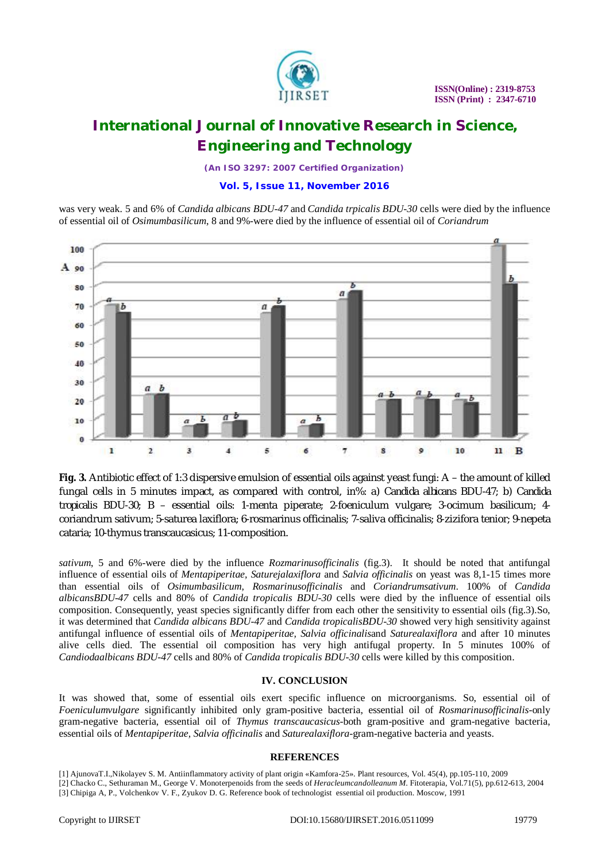

*(An ISO 3297: 2007 Certified Organization)*

#### **Vol. 5, Issue 11, November 2016**

was very weak. 5 and 6% of *Candida albicans BDU-47* and *Candida trpicalis BDU-30* cells were died by the influence of essential oil of *Osimumbasilicum*, 8 and 9%-were died by the influence of essential oil of *Coriandrum*



**Fig. 3.** Antibiotic effect of 1:3 dispersive emulsion of essential oils against yeast fungi: A – the amount of killed fungal cells in 5 minutes impact, as compared with control, in%: a) *Candida albicans* BDU-47; b) *Candida tropicalis* BDU-30; B – essential oils: 1-menta piperate; 2-foeniculum vulgare; 3-ocimum basilicum; 4 coriandrum sativum; 5-saturea laxiflora; 6-rosmarinus officinalis; 7-saliva officinalis; 8-zizifora tenior; 9-nepeta cataria; 10-thymus transcaucasicus; 11-composition.

*sativum*, 5 and 6%-were died by the influence *Rozmarinusofficinalis* (fig.3). It should be noted that antifungal influence of essential oils of *Mentapiperitae, Saturejalaxiflora* and *Salvia officinalis* on yeast was 8,1-15 times more than essential oils of *Osimumbasilicum, Rosmarinusofficinalis* and *Coriandrumsativum*. 100% of *Candida albicansBDU-47* cells and 80% of *Candida tropicalis BDU-30* cells were died by the influence of essential oils composition. Consequently, yeast species significantly differ from each other the sensitivity to essential oils (fig.3).So, it was determined that *Candida albicans BDU-47* and *Candida tropicalisBDU-30* showed very high sensitivity against antifungal influence of essential oils of *Mentapiperitae, Salvia officinalis*and *Saturealaxiflora* and after 10 minutes alive cells died. The essential oil composition has very high antifugal property. In 5 minutes 100% of *Candiodaalbicans BDU-47* cells and 80% of *Candida tropicalis BDU-30* cells were killed by this composition.

#### **IV. CONCLUSION**

It was showed that, some of essential oils exert specific influence on microorganisms. So, essential oil of *Foeniculumvulgare* significantly inhibited only gram-positive bacteria, essential oil of *Rosmarinusofficinalis*-only gram-negative bacteria, essential oil of *Thymus transcaucasicus*-both gram-positive and gram-negative bacteria, essential oils of *Mentapiperitae, Salvia officinalis* and *Saturealaxiflora*-gram-negative bacteria and yeasts.

#### **REFERENCES**

<sup>[1]</sup> AjunovaT.I.,Nikolayev S. M. Antiinflammatory activity of plant origin «Kamfora-25». Plant resources, Vol. 45(4), pp.105-110, 2009 [2] Chacko C., Sethuraman M., George V. Monoterpenoids from the seeds of *Heracleumcandolleanum M*. Fitoterapia, Vol.71(5), pp.612-613, 2004

<sup>[3]</sup> Chipiga A, P., Volchenkov V. F., Zyukov D. G. Reference book of technologist essential oil production. Moscow, 1991